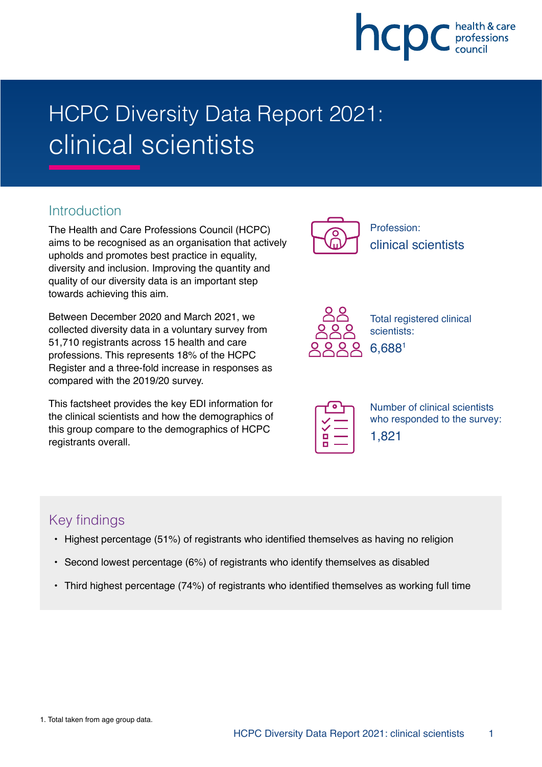

# HCPC Diversity Data Report 2021: clinical scientists

#### **Introduction**

The Health and Care Professions Council (HCPC) aims to be recognised as an organisation that actively upholds and promotes best practice in equality, diversity and inclusion. Improving the quantity and quality of our diversity data is an important step towards achieving this aim.

Between December 2020 and March 2021, we collected diversity data in a voluntary survey from 51,710 registrants across 15 health and care professions. This represents 18% of the HCPC Register and a three-fold increase in responses as compared with the 2019/20 survey.

This factsheet provides the key EDI information for the clinical scientists and how the demographics of this group compare to the demographics of HCPC registrants overall.



Profession: clinical scientists



Total registered clinical scientists: 6,6881

| г |  |
|---|--|
|   |  |

Number of clinical scientists who responded to the survey: 1,821

# Key findings

- Highest percentage (51%) of registrants who identified themselves as having no religion
- Second lowest percentage (6%) of registrants who identify themselves as disabled
- Third highest percentage (74%) of registrants who identified themselves as working full time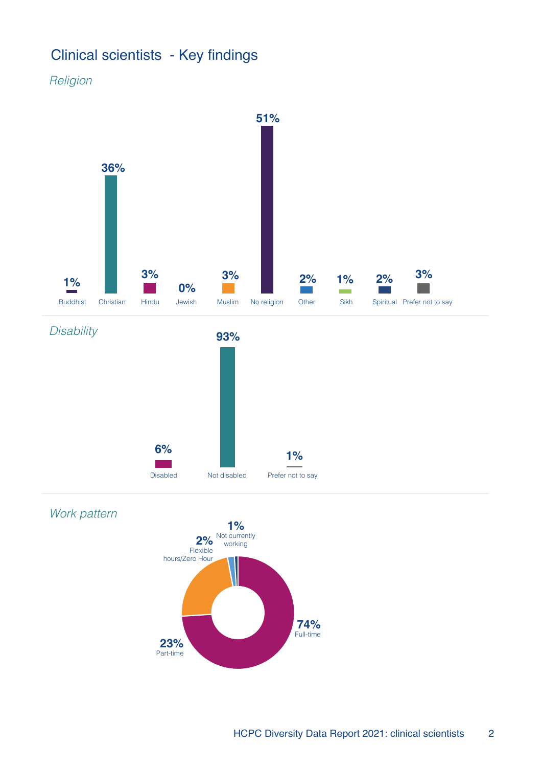# Clinical scientists - Key findings

Religion

Work pattern



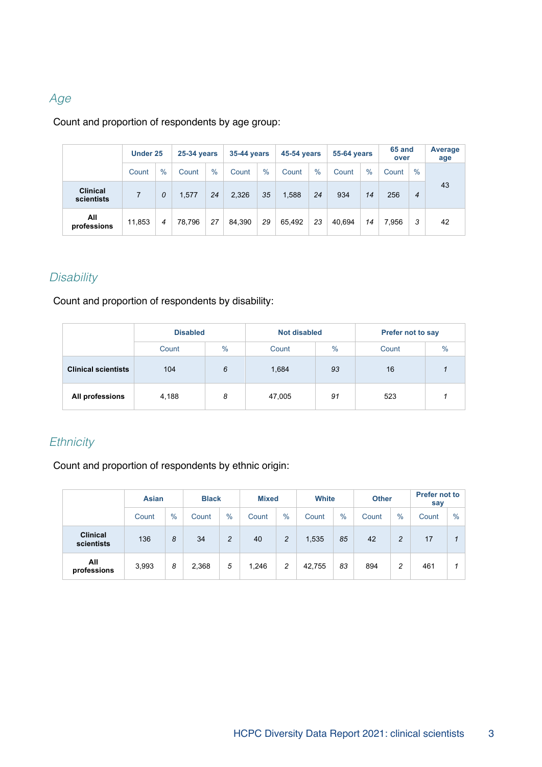#### Age

#### Count and proportion of respondents by age group:

|                               | Under 25 |      | <b>25-34 years</b> |      | <b>35-44 years</b> |               | <b>45-54 years</b> |      | <b>55-64 years</b> |      | 65 and<br>over |                | <b>Average</b><br>age |
|-------------------------------|----------|------|--------------------|------|--------------------|---------------|--------------------|------|--------------------|------|----------------|----------------|-----------------------|
|                               | Count    | $\%$ | Count              | $\%$ | Count              | $\frac{0}{0}$ | Count              | $\%$ | Count              | $\%$ | Count          | $\%$           |                       |
| <b>Clinical</b><br>scientists | 7        | 0    | 1,577              | 24   | 2,326              | 35            | 1,588              | 24   | 934                | 14   | 256            | $\overline{4}$ | 43                    |
| All<br>professions            | 11,853   | 4    | 78.796             | 27   | 84.390             | 29            | 65.492             | 23   | 40.694             | 14   | 7.956          | 3              | 42                    |

# **Disability**

Count and proportion of respondents by disability:

|                            | <b>Disabled</b> |      | <b>Not disabled</b> |      | Prefer not to say |  |  |
|----------------------------|-----------------|------|---------------------|------|-------------------|--|--|
|                            | Count           | $\%$ | Count               | $\%$ | $\%$<br>Count     |  |  |
| <b>Clinical scientists</b> | 104<br>6        |      | 1,684               | 93   | 16                |  |  |
| All professions            | 4,188           | 8    | 47,005              | 91   | 523               |  |  |

#### **Ethnicity**

Count and proportion of respondents by ethnic origin:

|                               | <b>Asian</b> |               | <b>Black</b> |                |       | <b>Mixed</b>  |        | <b>White</b> |       | <b>Other</b> | <b>Prefer not to</b><br>say |      |
|-------------------------------|--------------|---------------|--------------|----------------|-------|---------------|--------|--------------|-------|--------------|-----------------------------|------|
|                               | Count        | $\frac{0}{0}$ | Count        | $\%$           | Count | $\frac{0}{0}$ | Count  | $\%$         | Count | $\%$         | Count                       | $\%$ |
| <b>Clinical</b><br>scientists | 136          | 8             | 34           | $\overline{2}$ | 40    | 2             | 1,535  | 85           | 42    | 2            | 17                          |      |
| All<br>professions            | 3,993        | 8             | 2,368        | 5              | 1,246 | 2             | 42,755 | 83           | 894   | 2            | 461                         |      |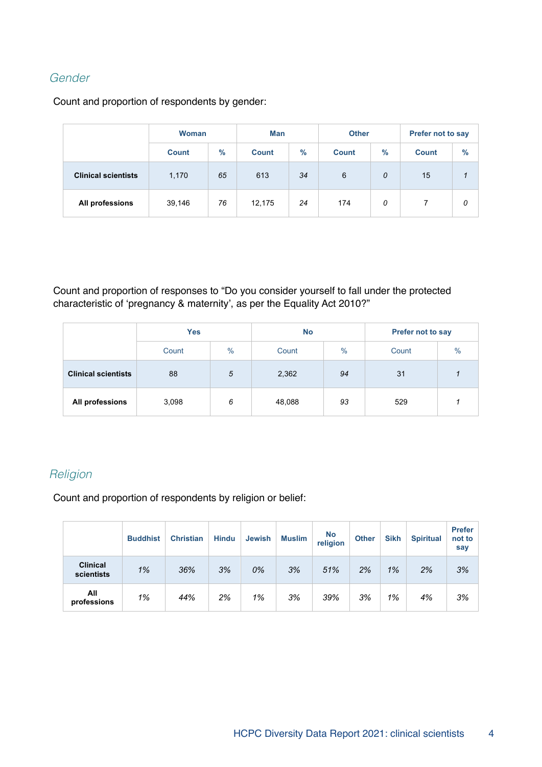#### Gender

Count and proportion of respondents by gender:

|                            | <b>Woman</b> |      | Man          |               | <b>Other</b> |      | <b>Prefer not to say</b> |      |  |
|----------------------------|--------------|------|--------------|---------------|--------------|------|--------------------------|------|--|
|                            | <b>Count</b> | $\%$ | <b>Count</b> | $\frac{9}{6}$ |              | $\%$ | <b>Count</b>             | $\%$ |  |
| <b>Clinical scientists</b> | 65<br>1,170  |      | 613          | 34            |              | 0    | 15                       |      |  |
| All professions            | 76<br>39,146 |      | 12,175       | 24            |              | 0    |                          | 0    |  |

Count and proportion of responses to "Do you consider yourself to fall under the protected characteristic of 'pregnancy & maternity', as per the Equality Act 2010?"

|                            | <b>Yes</b>             |   | <b>No</b> |      | Prefer not to say |               |  |
|----------------------------|------------------------|---|-----------|------|-------------------|---------------|--|
|                            | $\frac{0}{0}$<br>Count |   | Count     | $\%$ | Count             | $\frac{0}{0}$ |  |
| <b>Clinical scientists</b> | 5<br>88                |   | 2,362     | 94   | 31                |               |  |
| All professions            | 3,098                  | 6 | 48,088    | 93   | 529               |               |  |

#### Religion

Count and proportion of respondents by religion or belief:

|                               | <b>Buddhist</b> | <b>Christian</b> | <b>Hindu</b> | <b>Jewish</b> | <b>Muslim</b> | <b>No</b><br>religion | <b>Other</b> | <b>Sikh</b> | <b>Spiritual</b> | <b>Prefer</b><br>not to<br>say |
|-------------------------------|-----------------|------------------|--------------|---------------|---------------|-----------------------|--------------|-------------|------------------|--------------------------------|
| <b>Clinical</b><br>scientists | 1%              | 36%              | 3%           | 0%            | 3%            | 51%                   | 2%           | 1%          | 2%               | 3%                             |
| All<br>professions            | 1%              | 44%              | 2%           | 1%            | 3%            | 39%                   | 3%           | 1%          | 4%               | 3%                             |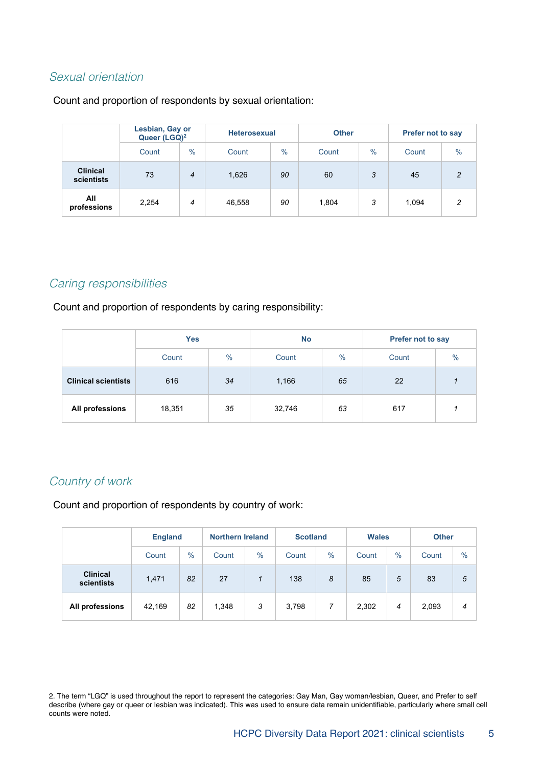#### Sexual orientation

Count and proportion of respondents by sexual orientation:

|                               | Lesbian, Gay or<br>Queer (LGQ) <sup>2</sup> |               | <b>Heterosexual</b> |               | <b>Other</b> |               | <b>Prefer not to say</b> |               |  |
|-------------------------------|---------------------------------------------|---------------|---------------------|---------------|--------------|---------------|--------------------------|---------------|--|
|                               | Count                                       | $\frac{0}{0}$ | Count               | $\frac{0}{0}$ | Count        | $\frac{0}{0}$ | Count                    | $\frac{0}{0}$ |  |
| <b>Clinical</b><br>scientists | 73                                          | 4             | 1,626               | 90            | 60           | 3             | 45                       | 2             |  |
| All<br>professions            | 2,254                                       | 4             | 46,558              | 90            | 1,804        | 3             | 1,094                    | 2             |  |

#### Caring responsibilities

Count and proportion of respondents by caring responsibility:

|                            | <b>Yes</b> |      | <b>No</b> |      | <b>Prefer not to say</b> |               |  |
|----------------------------|------------|------|-----------|------|--------------------------|---------------|--|
|                            | Count      | $\%$ | Count     | $\%$ | Count                    | $\frac{0}{0}$ |  |
| <b>Clinical scientists</b> | 616<br>34  |      | 1,166     | 65   | 22                       |               |  |
| All professions            | 18,351     | 35   | 32,746    | 63   | 617                      |               |  |

#### Country of work

Count and proportion of respondents by country of work:

|                               | <b>England</b> |      | <b>Northern Ireland</b> |      | <b>Scotland</b> |      | <b>Wales</b> |               | <b>Other</b> |               |
|-------------------------------|----------------|------|-------------------------|------|-----------------|------|--------------|---------------|--------------|---------------|
|                               | Count          | $\%$ | Count                   | $\%$ | Count           | $\%$ | Count        | $\frac{0}{0}$ | Count        | $\frac{0}{0}$ |
| <b>Clinical</b><br>scientists | 1,471          | 82   | 27                      |      | 138             | 8    | 85           | 5             | 83           | 5             |
| All professions               | 42,169         | 82   | 1,348                   | 3    | 3,798           | 7    | 2,302        | 4             | 2,093        | 4             |

2. The term "LGQ" is used throughout the report to represent the categories: Gay Man, Gay woman/lesbian, Queer, and Prefer to self describe (where gay or queer or lesbian was indicated). This was used to ensure data remain unidentifiable, particularly where small cell counts were noted.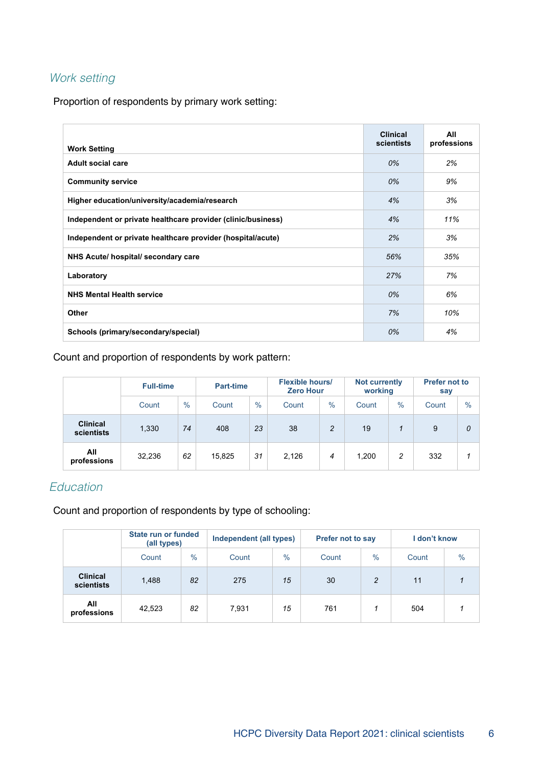# Work setting

Proportion of respondents by primary work setting:

| <b>Work Setting</b>                                          | <b>Clinical</b><br>scientists | All<br>professions |
|--------------------------------------------------------------|-------------------------------|--------------------|
| <b>Adult social care</b>                                     | 0%                            | 2%                 |
| <b>Community service</b>                                     | 0%                            | 9%                 |
| Higher education/university/academia/research                | 4%                            | 3%                 |
| Independent or private healthcare provider (clinic/business) | 4%                            | 11%                |
| Independent or private healthcare provider (hospital/acute)  | 2%                            | 3%                 |
| NHS Acute/ hospital/ secondary care                          | 56%                           | 35%                |
| Laboratory                                                   | 27%                           | 7%                 |
| <b>NHS Mental Health service</b>                             | 0%                            | 6%                 |
| <b>Other</b>                                                 | 7%                            | 10%                |
| Schools (primary/secondary/special)                          | 0%                            | 4%                 |

Count and proportion of respondents by work pattern:

|                               | <b>Full-time</b> |      | <b>Part-time</b> |               | <b>Flexible hours/</b><br><b>Zero Hour</b> |      | <b>Not currently</b><br>working |      | <b>Prefer not to</b><br>say |      |
|-------------------------------|------------------|------|------------------|---------------|--------------------------------------------|------|---------------------------------|------|-----------------------------|------|
|                               | Count            | $\%$ | Count            | $\frac{0}{0}$ | Count                                      | $\%$ | Count                           | $\%$ | Count                       | $\%$ |
| <b>Clinical</b><br>scientists | 1,330            | 74   | 408              | 23            | 38                                         | 2    | 19                              | 1    | 9                           | 0    |
| All<br>professions            | 32,236           | 62   | 15,825           | 31            | 2,126                                      | 4    | 1,200                           | 2    | 332                         |      |

### Education

Count and proportion of respondents by type of schooling:

|                               | State run or funded<br>(all types) |      | Independent (all types) |               | <b>Prefer not to say</b> |      | I don't know |      |
|-------------------------------|------------------------------------|------|-------------------------|---------------|--------------------------|------|--------------|------|
|                               | Count                              | $\%$ | Count                   | $\frac{0}{0}$ | Count                    | $\%$ | Count        | $\%$ |
| <b>Clinical</b><br>scientists | 1,488                              | 82   | 275                     | 15            | 30                       | 2    | 11           |      |
| All<br>professions            | 42,523                             | 82   | 7,931                   | 15            | 761                      |      | 504          |      |